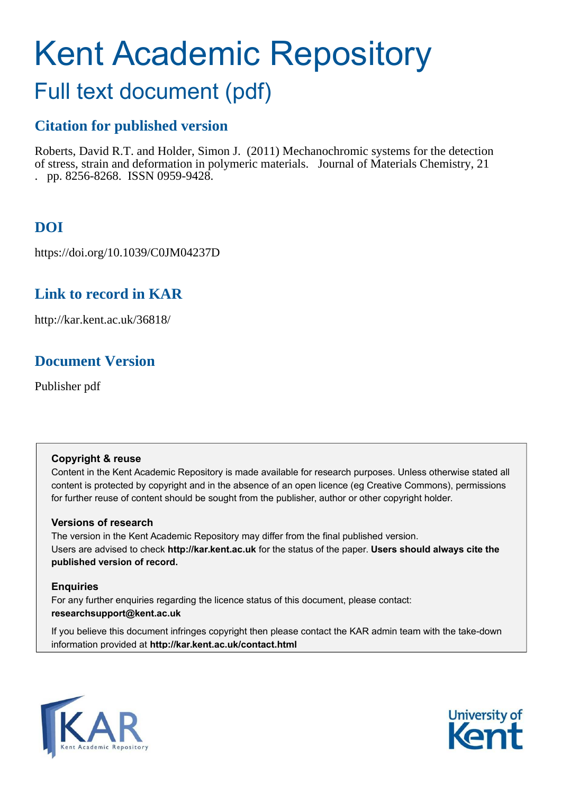# Kent Academic Repository

# Full text document (pdf)

## **Citation for published version**

Roberts, David R.T. and Holder, Simon J. (2011) Mechanochromic systems for the detection of stress, strain and deformation in polymeric materials. Journal of Materials Chemistry, 21 . pp. 8256-8268. ISSN 0959-9428.

# **DOI**

https://doi.org/10.1039/C0JM04237D

## **Link to record in KAR**

http://kar.kent.ac.uk/36818/

## **Document Version**

Publisher pdf

#### **Copyright & reuse**

Content in the Kent Academic Repository is made available for research purposes. Unless otherwise stated all content is protected by copyright and in the absence of an open licence (eg Creative Commons), permissions for further reuse of content should be sought from the publisher, author or other copyright holder.

#### **Versions of research**

The version in the Kent Academic Repository may differ from the final published version. Users are advised to check **http://kar.kent.ac.uk** for the status of the paper. **Users should always cite the published version of record.**

#### **Enquiries**

For any further enquiries regarding the licence status of this document, please contact: **researchsupport@kent.ac.uk**

If you believe this document infringes copyright then please contact the KAR admin team with the take-down information provided at **http://kar.kent.ac.uk/contact.html**



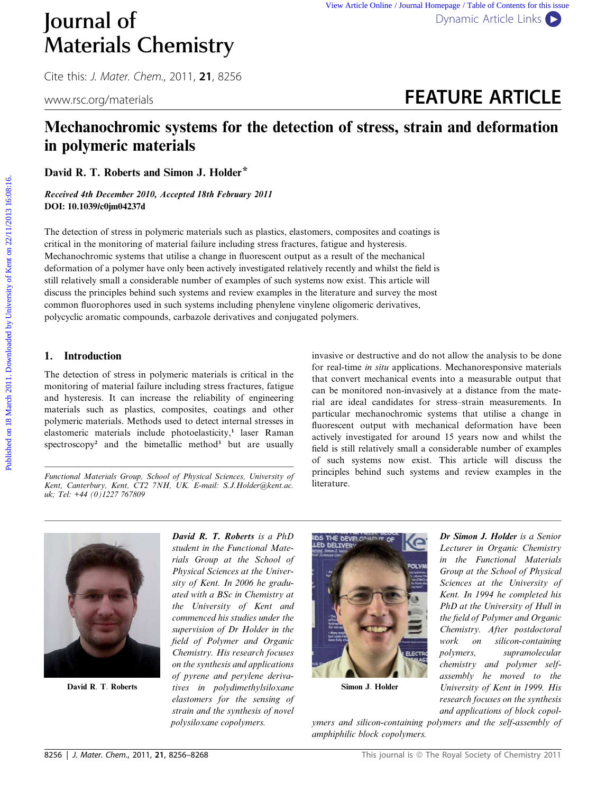# Journal of [Dynamic Article Links](http://dx.doi.org/10.1039/c0jm04237d) Materials Chemistry

Cite this: J. Mater. Chem., 2011, 21, 8256

# www.rsc.org/materials **FEATURE ARTICLE**

### Mechanochromic systems for the detection of stress, strain and deformation in polymeric materials

David R. T. Roberts and Simon J. Holder\*

Received 4th December 2010, Accepted 18th February 2011 DOI: 10.1039/c0jm04237d

The detection of stress in polymeric materials such as plastics, elastomers, composites and coatings is critical in the monitoring of material failure including stress fractures, fatigue and hysteresis. Mechanochromic systems that utilise a change in fluorescent output as a result of the mechanical deformation of a polymer have only been actively investigated relatively recently and whilst the field is still relatively small a considerable number of examples of such systems now exist. This article will discuss the principles behind such systems and review examples in the literature and survey the most common fluorophores used in such systems including phenylene vinylene oligomeric derivatives, polycyclic aromatic compounds, carbazole derivatives and conjugated polymers.

#### 1. Introduction

The detection of stress in polymeric materials is critical in the monitoring of material failure including stress fractures, fatigue and hysteresis. It can increase the reliability of engineering materials such as plastics, composites, coatings and other polymeric materials. Methods used to detect internal stresses in elastomeric materials include photoelasticity,<sup>1</sup> laser Raman spectroscopy<sup>2</sup> and the bimetallic method<sup>3</sup> but are usually

*Functional Materials Group, School of Physical Sciences, University of Kent, Canterbury, Kent, CT2 7NH, UK. E-mail: S.J.Holder@kent.ac. uk; Tel: +44 (0)1227 767809*

invasive or destructive and do not allow the analysis to be done for real-time *in situ* applications. Mechanoresponsive materials that convert mechanical events into a measurable output that can be monitored non-invasively at a distance from the material are ideal candidates for stress–strain measurements. In particular mechanochromic systems that utilise a change in fluorescent output with mechanical deformation have been actively investigated for around 15 years now and whilst the field is still relatively small a considerable number of examples of such systems now exist. This article will discuss the principles behind such systems and review examples in the literature.



David R: T: Roberts

David R. T. Roberts *is a PhD student in the Functional Materials Group at the School of Physical Sciences at the University of Kent. In 2006 he graduated with a BSc in Chemistry at the University of Kent and commenced his studies under the supervision of Dr Holder in the field of Polymer and Organic Chemistry. His research focuses on the synthesis and applications of pyrene and perylene derivatives in polydimethylsiloxane elastomers for the sensing of strain and the synthesis of novel polysiloxane copolymers.*



Simon J: Holder

Dr Simon J. Holder *is a Senior Lecturer in Organic Chemistry in the Functional Materials Group at the School of Physical Sciences at the University of Kent. In 1994 he completed his PhD at the University of Hull in the field of Polymer and Organic Chemistry. After postdoctoral work on silicon-containing polymers, supramolecular chemistry and polymer selfassembly he moved to the University of Kent in 1999. His research focuses on the synthesis and applications of block copol-*

*ymers and silicon-containing polymers and the self-assembly of amphiphilic block copolymers.*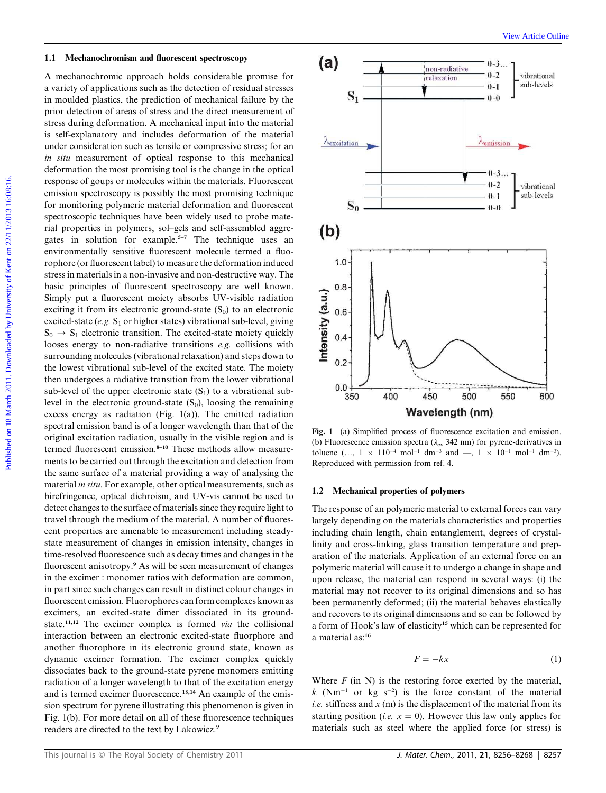#### 1.1 Mechanochromism and fluorescent spectroscopy

A mechanochromic approach holds considerable promise for a variety of applications such as the detection of residual stresses in moulded plastics, the prediction of mechanical failure by the prior detection of areas of stress and the direct measurement of stress during deformation. A mechanical input into the material is self-explanatory and includes deformation of the material under consideration such as tensile or compressive stress; for an *in situ* measurement of optical response to this mechanical deformation the most promising tool is the change in the optical response of goups or molecules within the materials. Fluorescent emission spectroscopy is possibly the most promising technique for monitoring polymeric material deformation and fluorescent spectroscopic techniques have been widely used to probe material properties in polymers, sol–gels and self-assembled aggregates in solution for example.<sup>5-7</sup> The technique uses an environmentally sensitive fluorescent molecule termed a fluorophore (or fluorescent label) to measure the deformation induced stress in materials in a non-invasive and non-destructive way. The basic principles of fluorescent spectroscopy are well known. Simply put a fluorescent moiety absorbs UV-visible radiation exciting it from its electronic ground-state  $(S_0)$  to an electronic excited-state ( $e.g. S<sub>1</sub>$  or higher states) vibrational sub-level, giving  $S_0 \rightarrow S_1$  electronic transition. The excited-state moiety quickly looses energy to non-radiative transitions *e.g.* collisions with surrounding molecules (vibrational relaxation) and steps down to the lowest vibrational sub-level of the excited state. The moiety then undergoes a radiative transition from the lower vibrational sub-level of the upper electronic state  $(S_1)$  to a vibrational sublevel in the electronic ground-state  $(S_0)$ , loosing the remaining excess energy as radiation (Fig. 1(a)). The emitted radiation spectral emission band is of a longer wavelength than that of the original excitation radiation, usually in the visible region and is termed fluorescent emission.<sup>8-10</sup> These methods allow measurements to be carried out through the excitation and detection from the same surface of a material providing a way of analysing the material *in situ*. For example, other optical measurements, such as birefringence, optical dichroism, and UV-vis cannot be used to detect changes to the surface of materials since they require light to travel through the medium of the material. A number of fluorescent properties are amenable to measurement including steadystate measurement of changes in emission intensity, changes in time-resolved fluorescence such as decay times and changes in the fluorescent anisotropy.<sup>9</sup> As will be seen measurement of changes in the excimer : monomer ratios with deformation are common, in part since such changes can result in distinct colour changes in fluorescent emission. Fluorophores can form complexes known as excimers, an excited-state dimer dissociated in its groundstate.11,12 The excimer complex is formed *via* the collisional interaction between an electronic excited-state fluorphore and another fluorophore in its electronic ground state, known as dynamic excimer formation. The excimer complex quickly dissociates back to the ground-state pyrene monomers emitting radiation of a longer wavelength to that of the excitation energy and is termed excimer fluorescence.<sup>13,14</sup> An example of the emission spectrum for pyrene illustrating this phenomenon is given in Fig. 1(b). For more detail on all of these fluorescence techniques readers are directed to the text by Lakowicz.<sup>9</sup>



Fig. 1 (a) Simplified process of fluorescence excitation and emission. (b) Fluorescence emission spectra ( $\lambda_{\rm ex}$  342 nm) for pyrene-derivatives in toluene (...,  $1 \times 110^{-4}$  mol<sup>-1</sup> dm<sup>-3</sup> and -,  $1 \times 10^{-1}$  mol<sup>-1</sup> dm<sup>-3</sup>). Reproduced with permission from ref. 4.

#### 1.2 Mechanical properties of polymers

The response of an polymeric material to external forces can vary largely depending on the materials characteristics and properties including chain length, chain entanglement, degrees of crystallinity and cross-linking, glass transition temperature and preparation of the materials. Application of an external force on an polymeric material will cause it to undergo a change in shape and upon release, the material can respond in several ways: (i) the material may not recover to its original dimensions and so has been permanently deformed; (ii) the material behaves elastically and recovers to its original dimensions and so can be followed by a form of Hook's law of elasticity<sup>15</sup> which can be represented for a material as:<sup>16</sup>

$$
F = -kx\tag{1}
$$

Where  $F$  (in N) is the restoring force exerted by the material,  $k$  (Nm<sup>-1</sup> or kg s<sup>-2</sup>) is the force constant of the material *i.e.* stiffness and *x* (m) is the displacement of the material from its starting position (*i.e.*  $x = 0$ ). However this law only applies for materials such as steel where the applied force (or stress) is

Published on 18 March 2011. Downloaded by University of Kent on 22/11/2013 16:08:16.

Published on 18 March 2011. Downloaded by University of Kent on 22/11/2013 16:08:16.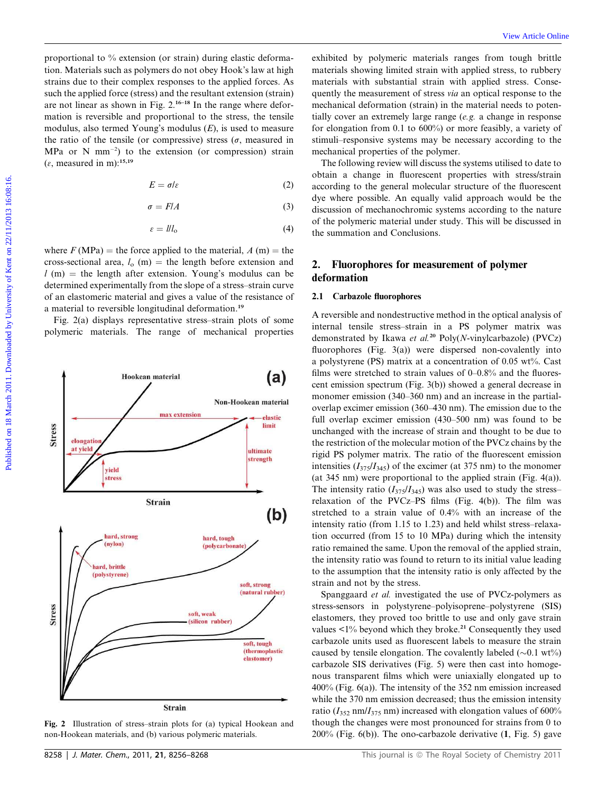**Stress** 

elongation at yield

yield

proportional to % extension (or strain) during elastic deformation. Materials such as polymers do not obey Hook's law at high strains due to their complex responses to the applied forces. As such the applied force (stress) and the resultant extension (strain) are not linear as shown in Fig. 2.16–18 In the range where deformation is reversible and proportional to the stress, the tensile modulus, also termed Young's modulus (*E*), is used to measure the ratio of the tensile (or compressive) stress ( $\sigma$ , measured in MPa or N mm-2 ) to the extension (or compression) strain  $(\varepsilon,$  measured in m):<sup>15,19</sup>

$$
E = \sigma/\varepsilon \tag{2}
$$

$$
\sigma = F/A \tag{3}
$$

$$
\varepsilon = l/l_o \tag{4}
$$

 $(a)$ 

elastic limit

ultimate strength

Non-Hookean material

where  $F(MPa) =$  the force applied to the material,  $A(m) =$  the cross-sectional area,  $l_0$  (m) = the length before extension and  $l$  (m) = the length after extension. Young's modulus can be determined experimentally from the slope of a stress–strain curve of an elastomeric material and gives a value of the resistance of a material to reversible longitudinal deformation.<sup>19</sup>

Fig. 2(a) displays representative stress–strain plots of some polymeric materials. The range of mechanical properties

max extension

Hookean material



Strain

Fig. 2 Illustration of stress–strain plots for (a) typical Hookean and non-Hookean materials, and (b) various polymeric materials.

exhibited by polymeric materials ranges from tough brittle materials showing limited strain with applied stress, to rubbery materials with substantial strain with applied stress. Consequently the measurement of stress *via* an optical response to the mechanical deformation (strain) in the material needs to potentially cover an extremely large range (*e.g.* a change in response for elongation from 0.1 to 600%) or more feasibly, a variety of stimuli–responsive systems may be necessary according to the mechanical properties of the polymer.

The following review will discuss the systems utilised to date to obtain a change in fluorescent properties with stress/strain according to the general molecular structure of the fluorescent dye where possible. An equally valid approach would be the discussion of mechanochromic systems according to the nature of the polymeric material under study. This will be discussed in the summation and Conclusions.

#### 2. Fluorophores for measurement of polymer deformation

#### 2.1 Carbazole fluorophores

A reversible and nondestructive method in the optical analysis of internal tensile stress–strain in a PS polymer matrix was demonstrated by Ikawa *et al.*<sup>20</sup> Poly(*N*-vinylcarbazole) (PVCz) fluorophores (Fig. 3(a)) were dispersed non-covalently into a polystyrene (PS) matrix at a concentration of 0.05 wt%. Cast films were stretched to strain values of 0–0.8% and the fluorescent emission spectrum (Fig. 3(b)) showed a general decrease in monomer emission (340–360 nm) and an increase in the partialoverlap excimer emission (360–430 nm). The emission due to the full overlap excimer emission (430–500 nm) was found to be unchanged with the increase of strain and thought to be due to the restriction of the molecular motion of the PVCz chains by the rigid PS polymer matrix. The ratio of the fluorescent emission intensities  $(I_{375}/I_{345})$  of the excimer (at 375 nm) to the monomer (at 345 nm) were proportional to the applied strain (Fig. 4(a)). The intensity ratio  $(I_{375}/I_{345})$  was also used to study the stress– relaxation of the PVCz–PS films (Fig. 4(b)). The film was stretched to a strain value of 0.4% with an increase of the intensity ratio (from 1.15 to 1.23) and held whilst stress–relaxation occurred (from 15 to 10 MPa) during which the intensity ratio remained the same. Upon the removal of the applied strain, the intensity ratio was found to return to its initial value leading to the assumption that the intensity ratio is only affected by the strain and not by the stress.

Spanggaard *et al.* investigated the use of PVCz-polymers as stress-sensors in polystyrene–polyisoprene–polystyrene (SIS) elastomers, they proved too brittle to use and only gave strain values <1% beyond which they broke.<sup>21</sup> Consequently they used carbazole units used as fluorescent labels to measure the strain caused by tensile elongation. The covalently labeled  $(\sim 0.1 \text{ wt})$ carbazole SIS derivatives (Fig. 5) were then cast into homogenous transparent films which were uniaxially elongated up to 400% (Fig. 6(a)). The intensity of the 352 nm emission increased while the 370 nm emission decreased; thus the emission intensity ratio ( $I_{352}$  nm/ $I_{375}$  nm) increased with elongation values of 600% though the changes were most pronounced for strains from 0 to 200% (Fig. 6(b)). The ono-carbazole derivative (1, Fig. 5) gave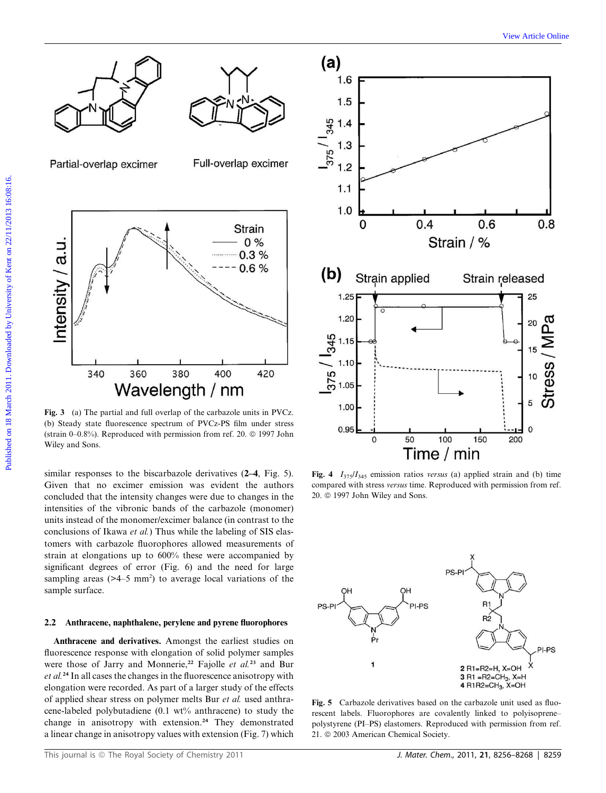

Fig. 3 (a) The partial and full overlap of the carbazole units in PVCz. (b) Steady state fluorescence spectrum of PVCz-PS film under stress (strain  $0-0.8%$ ). Reproduced with permission from ref. 20.  $© 1997$  John Wiley and Sons.

similar responses to the biscarbazole derivatives (2–4, Fig. 5). Given that no excimer emission was evident the authors concluded that the intensity changes were due to changes in the intensities of the vibronic bands of the carbazole (monomer) units instead of the monomer/excimer balance (in contrast to the conclusions of Ikawa *et al.*) Thus while the labeling of SIS elastomers with carbazole fluorophores allowed measurements of strain at elongations up to 600% these were accompanied by significant degrees of error (Fig. 6) and the need for large sampling areas  $(>=4.5$  mm<sup>2</sup>) to average local variations of the sample surface.

#### 2.2 Anthracene, naphthalene, perylene and pyrene fluorophores

Anthracene and derivatives. Amongst the earliest studies on fluorescence response with elongation of solid polymer samples were those of Jarry and Monnerie,<sup>22</sup> Fajolle *et al.*<sup>23</sup> and Bur *et al.*<sup>24</sup> In all cases the changes in the fluorescence anisotropy with elongation were recorded. As part of a larger study of the effects of applied shear stress on polymer melts Bur *et al.* used anthracene-labeled polybutadiene (0.1 wt% anthracene) to study the change in anisotropy with extension.<sup>24</sup> They demonstrated a linear change in anisotropy values with extension (Fig. 7) which



Fig. 4 *I*375/*I*<sup>345</sup> emission ratios *versus* (a) applied strain and (b) time compared with stress *versus* time. Reproduced with permission from ref. 20. @ 1997 John Wiley and Sons.



Fig. 5 Carbazole derivatives based on the carbazole unit used as fluorescent labels. Fluorophores are covalently linked to polyisoprene– polystyrene (PI–PS) elastomers. Reproduced with permission from ref. 21. © 2003 American Chemical Society.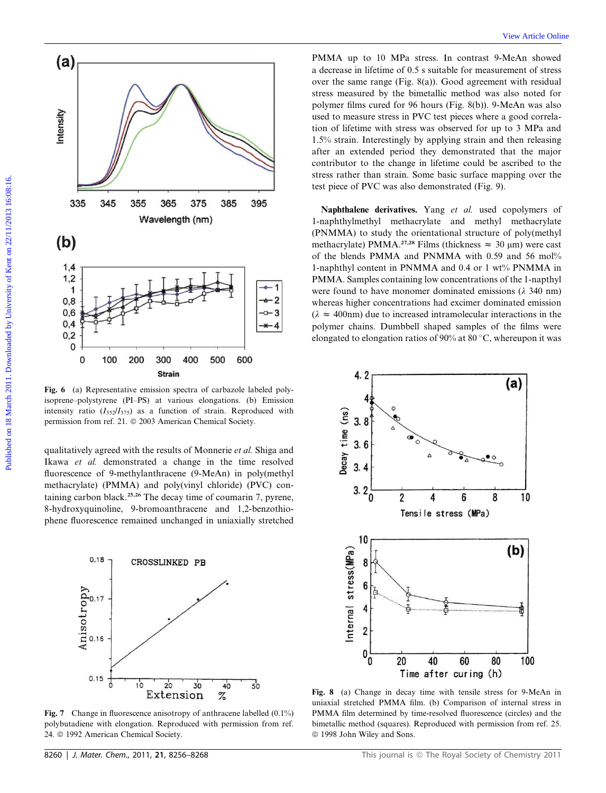

Fig. 6 (a) Representative emission spectra of carbazole labeled polyisoprene–polystyrene (PI–PS) at various elongations. (b) Emission intensity ratio  $(I_{352}/I_{375})$  as a function of strain. Reproduced with permission from ref. 21. @ 2003 American Chemical Society.

qualitatively agreed with the results of Monnerie *et al.* Shiga and Ikawa *et al.* demonstrated a change in the time resolved fluorescence of 9-methylanthracene (9-MeAn) in poly(methyl methacrylate) (PMMA) and poly(vinyl chloride) (PVC) containing carbon black.<sup>25,26</sup> The decay time of coumarin 7, pyrene, 8-hydroxyquinoline, 9-bromoanthracene and 1,2-benzothiophene fluorescence remained unchanged in uniaxially stretched



Fig. 7 Change in fluorescence anisotropy of anthracene labelled (0.1%) polybutadiene with elongation. Reproduced with permission from ref. 24. © 1992 American Chemical Society.

PMMA up to 10 MPa stress. In contrast 9-MeAn showed a decrease in lifetime of 0.5 s suitable for measurement of stress over the same range (Fig. 8(a)). Good agreement with residual stress measured by the bimetallic method was also noted for polymer films cured for 96 hours (Fig. 8(b)). 9-MeAn was also used to measure stress in PVC test pieces where a good correlation of lifetime with stress was observed for up to 3 MPa and 1.5% strain. Interestingly by applying strain and then releasing after an extended period they demonstrated that the major contributor to the change in lifetime could be ascribed to the stress rather than strain. Some basic surface mapping over the test piece of PVC was also demonstrated (Fig. 9).

Naphthalene derivatives. Yang *et al.* used copolymers of 1-naphthylmethyl methacrylate and methyl methacrylate (PNMMA) to study the orientational structure of poly(methyl methacrylate) PMMA.<sup>27,28</sup> Films (thickness  $\approx$  30 µm) were cast of the blends PMMA and PNMMA with 0.59 and 56 mol% 1-naphthyl content in PNMMA and 0.4 or 1 wt% PNMMA in PMMA. Samples containing low concentrations of the 1-napthyl were found to have monomer dominated emissions  $(\lambda 340 \text{ nm})$ whereas higher concentrations had excimer dominated emission  $(\lambda \approx 400$ nm) due to increased intramolecular interactions in the polymer chains. Dumbbell shaped samples of the films were elongated to elongation ratios of 90% at 80  $\degree$ C, whereupon it was



Fig. 8 (a) Change in decay time with tensile stress for 9-MeAn in uniaxial stretched PMMA film. (b) Comparison of internal stress in PMMA film determined by time-resolved fluorescence (circles) and the bimetallic method (squares). Reproduced with permission from ref. 25.  $© 1998$  John Wiley and Sons.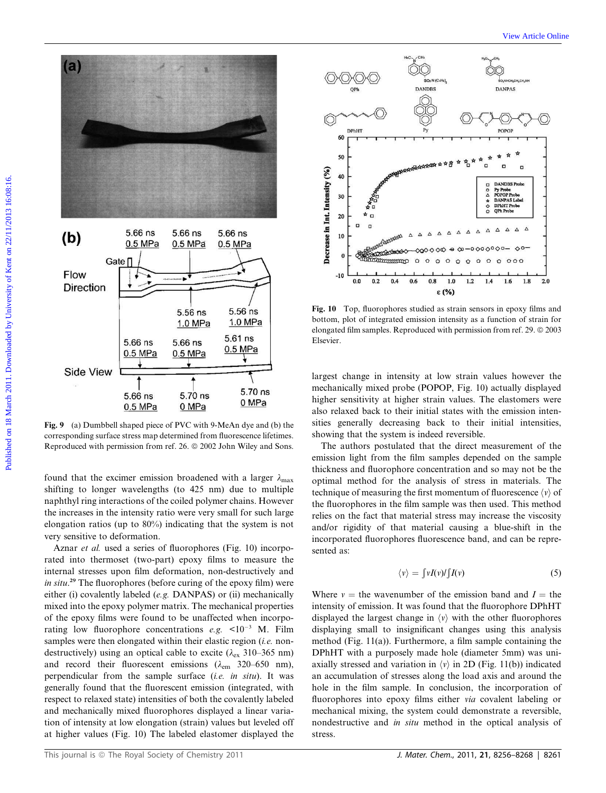



Fig. 9 (a) Dumbbell shaped piece of PVC with 9-MeAn dye and (b) the corresponding surface stress map determined from fluorescence lifetimes. Reproduced with permission from ref. 26.  $\odot$  2002 John Wiley and Sons.

found that the excimer emission broadened with a larger  $\lambda_{\text{max}}$ shifting to longer wavelengths (to 425 nm) due to multiple naphthyl ring interactions of the coiled polymer chains. However the increases in the intensity ratio were very small for such large elongation ratios (up to 80%) indicating that the system is not very sensitive to deformation.

Aznar *et al.* used a series of fluorophores (Fig. 10) incorporated into thermoset (two-part) epoxy films to measure the internal stresses upon film deformation, non-destructively and *in situ*. <sup>29</sup> The fluorophores (before curing of the epoxy film) were either (i) covalently labeled (*e.g.* DANPAS) or (ii) mechanically mixed into the epoxy polymer matrix. The mechanical properties of the epoxy films were found to be unaffected when incorporating low fluorophore concentrations  $e.g. < 10^{-3}$  M. Film samples were then elongated within their elastic region (*i.e.* nondestructively) using an optical cable to excite ( $\lambda_{ex}$  310–365 nm) and record their fluorescent emissions ( $\lambda_{em}$  320–650 nm), perpendicular from the sample surface (*i.e. in situ*). It was generally found that the fluorescent emission (integrated, with respect to relaxed state) intensities of both the covalently labeled and mechanically mixed fluorophores displayed a linear variation of intensity at low elongation (strain) values but leveled off at higher values (Fig. 10) The labeled elastomer displayed the



Fig. 10 Top, fluorophores studied as strain sensors in epoxy films and bottom, plot of integrated emission intensity as a function of strain for elongated film samples. Reproduced with permission from ref.  $29. \circledcirc 2003$ Elsevier.

largest change in intensity at low strain values however the mechanically mixed probe (POPOP, Fig. 10) actually displayed higher sensitivity at higher strain values. The elastomers were also relaxed back to their initial states with the emission intensities generally decreasing back to their initial intensities, showing that the system is indeed reversible.

The authors postulated that the direct measurement of the emission light from the film samples depended on the sample thickness and fluorophore concentration and so may not be the optimal method for the analysis of stress in materials. The technique of measuring the first momentum of fluorescence  $\langle v \rangle$  of the fluorophores in the film sample was then used. This method relies on the fact that material stress may increase the viscosity and/or rigidity of that material causing a blue-shift in the incorporated fluorophores fluorescence band, and can be represented as:

$$
\langle v \rangle = \int vI(v)/\int I(v) \tag{5}
$$

Where  $v =$  the wavenumber of the emission band and  $I =$  the intensity of emission. It was found that the fluorophore DPhHT displayed the largest change in  $\langle v \rangle$  with the other fluorophores displaying small to insignificant changes using this analysis method (Fig. 11(a)). Furthermore, a film sample containing the DPhHT with a purposely made hole (diameter 5mm) was uniaxially stressed and variation in  $\langle v \rangle$  in 2D (Fig. 11(b)) indicated an accumulation of stresses along the load axis and around the hole in the film sample. In conclusion, the incorporation of fluorophores into epoxy films either *via* covalent labeling or mechanical mixing, the system could demonstrate a reversible, nondestructive and *in situ* method in the optical analysis of stress.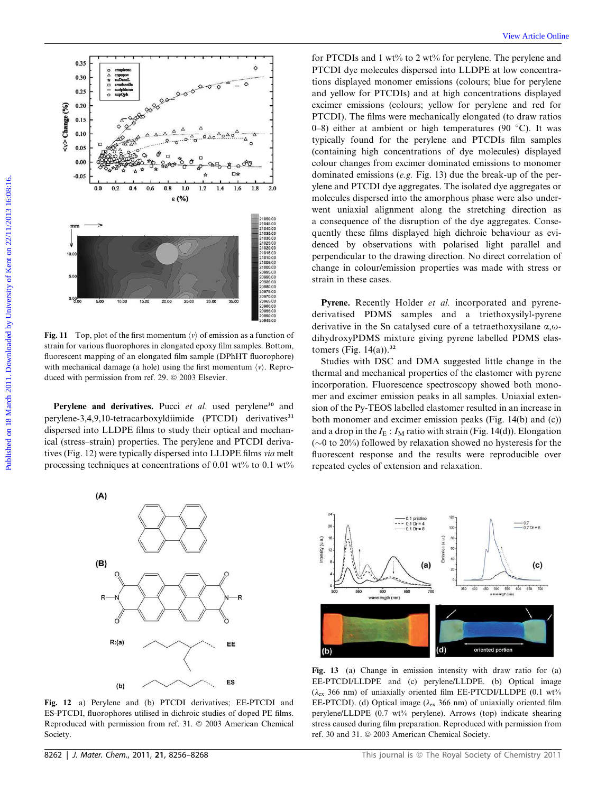

Fig. 11 Top, plot of the first momentum  $\langle v \rangle$  of emission as a function of strain for various fluorophores in elongated epoxy film samples. Bottom, fluorescent mapping of an elongated film sample (DPhHT fluorophore) with mechanical damage (a hole) using the first momentum  $\langle v \rangle$ . Reproduced with permission from ref.  $29. © 2003$  Elsevier.

Perylene and derivatives. Pucci et al. used perylene<sup>30</sup> and perylene-3,4,9,10-tetracarboxyldiimide (PTCDI) derivatives<sup>31</sup> dispersed into LLDPE films to study their optical and mechanical (stress–strain) properties. The perylene and PTCDI derivatives (Fig. 12) were typically dispersed into LLDPE films *via* melt processing techniques at concentrations of 0.01 wt% to 0.1 wt%



Fig. 12 a) Perylene and (b) PTCDI derivatives; EE-PTCDI and ES-PTCDI, fluorophores utilised in dichroic studies of doped PE films. Reproduced with permission from ref. 31. @ 2003 American Chemical Society.

for PTCDIs and 1 wt% to 2 wt% for perylene. The perylene and PTCDI dye molecules dispersed into LLDPE at low concentrations displayed monomer emissions (colours; blue for perylene and yellow for PTCDIs) and at high concentrations displayed excimer emissions (colours; yellow for perylene and red for PTCDI). The films were mechanically elongated (to draw ratios 0–8) either at ambient or high temperatures (90  $^{\circ}$ C). It was typically found for the perylene and PTCDIs film samples (containing high concentrations of dye molecules) displayed colour changes from excimer dominated emissions to monomer dominated emissions (*e.g.* Fig. 13) due the break-up of the perylene and PTCDI dye aggregates. The isolated dye aggregates or molecules dispersed into the amorphous phase were also underwent uniaxial alignment along the stretching direction as a consequence of the disruption of the dye aggregates. Consequently these films displayed high dichroic behaviour as evidenced by observations with polarised light parallel and perpendicular to the drawing direction. No direct correlation of change in colour/emission properties was made with stress or strain in these cases.

Pyrene. Recently Holder *et al.* incorporated and pyrenederivatised PDMS samples and a triethoxysilyl-pyrene derivative in the Sn catalysed cure of a tetraethoxysilane  $\alpha$ , $\omega$ dihydroxyPDMS mixture giving pyrene labelled PDMS elastomers (Fig.  $14(a)$ ).<sup>32</sup>

Studies with DSC and DMA suggested little change in the thermal and mechanical properties of the elastomer with pyrene incorporation. Fluorescence spectroscopy showed both monomer and excimer emission peaks in all samples. Uniaxial extension of the Py-TEOS labelled elastomer resulted in an increase in both monomer and excimer emission peaks (Fig. 14(b) and (c)) and a drop in the  $I_E$  :  $I_M$  ratio with strain (Fig. 14(d)). Elongation  $(\sim 0$  to 20%) followed by relaxation showed no hysteresis for the fluorescent response and the results were reproducible over repeated cycles of extension and relaxation.



Fig. 13 (a) Change in emission intensity with draw ratio for (a) EE-PTCDI/LLDPE and (c) perylene/LLDPE. (b) Optical image ( $\lambda_{\text{ex}}$  366 nm) of uniaxially oriented film EE-PTCDI/LLDPE (0.1 wt%) EE-PTCDI). (d) Optical image ( $\lambda_{ex}$  366 nm) of uniaxially oriented film perylene/LLDPE (0.7 wt% perylene). Arrows (top) indicate shearing stress caused during film preparation. Reproduced with permission from ref. 30 and 31.  $\odot$  2003 American Chemical Society.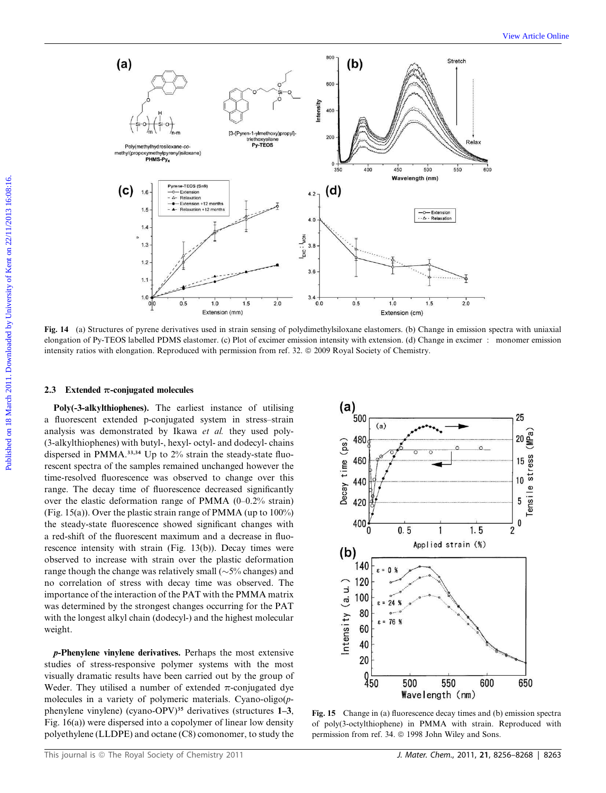

Fig. 14 (a) Structures of pyrene derivatives used in strain sensing of polydimethylsiloxane elastomers. (b) Change in emission spectra with uniaxial elongation of Py-TEOS labelled PDMS elastomer. (c) Plot of excimer emission intensity with extension. (d) Change in excimer : monomer emission intensity ratios with elongation. Reproduced with permission from ref. 32. @ 2009 Royal Society of Chemistry.

#### 2.3 Extended  $\pi$ -conjugated molecules

Poly(-3-alkylthiophenes). The earliest instance of utilising a fluorescent extended p-conjugated system in stress–strain analysis was demonstrated by Ikawa *et al.* they used poly- (3-alkylthiophenes) with butyl-, hexyl- octyl- and dodecyl- chains dispersed in PMMA.<sup>33,34</sup> Up to 2% strain the steady-state fluorescent spectra of the samples remained unchanged however the time-resolved fluorescence was observed to change over this range. The decay time of fluorescence decreased significantly over the elastic deformation range of PMMA (0–0.2% strain) (Fig. 15(a)). Over the plastic strain range of PMMA (up to 100%) the steady-state fluorescence showed significant changes with a red-shift of the fluorescent maximum and a decrease in fluorescence intensity with strain (Fig. 13(b)). Decay times were observed to increase with strain over the plastic deformation range though the change was relatively small ( $\sim$ 5% changes) and no correlation of stress with decay time was observed. The importance of the interaction of the PAT with the PMMA matrix was determined by the strongest changes occurring for the PAT with the longest alkyl chain (dodecyl-) and the highest molecular weight.

p-Phenylene vinylene derivatives. Perhaps the most extensive studies of stress-responsive polymer systems with the most visually dramatic results have been carried out by the group of Weder. They utilised a number of extended  $\pi$ -conjugated dye molecules in a variety of polymeric materials. Cyano-oligo(*p*phenylene vinylene) (cyano-OPV)<sup>35</sup> derivatives (structures 1–3, Fig. 16(a)) were dispersed into a copolymer of linear low density polyethylene (LLDPE) and octane (C8) comonomer, to study the



Fig. 15 Change in (a) fluorescence decay times and (b) emission spectra of poly(3-octylthiophene) in PMMA with strain. Reproduced with permission from ref. 34.  $\odot$  1998 John Wiley and Sons.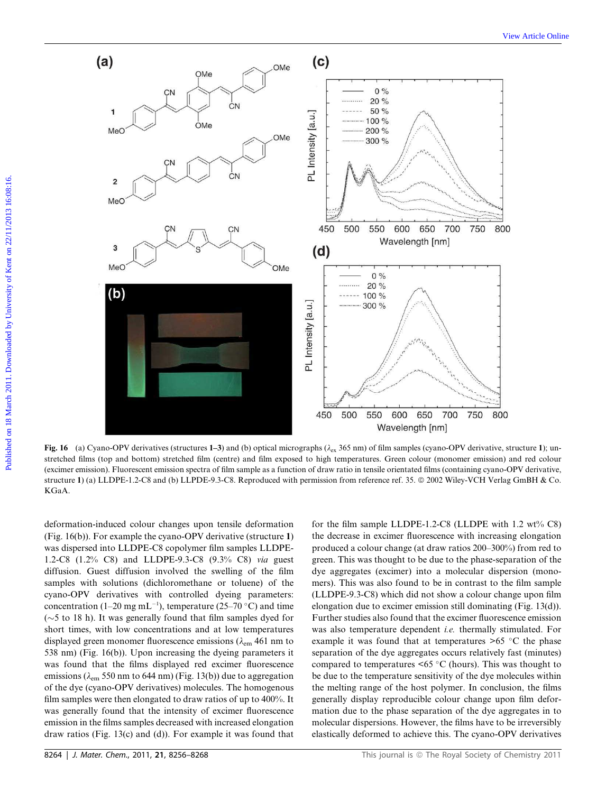

Fig. 16 (a) Cyano-OPV derivatives (structures 1–3) and (b) optical micrographs ( $\lambda_{ex}$  365 nm) of film samples (cyano-OPV derivative, structure 1); unstretched films (top and bottom) stretched film (centre) and film exposed to high temperatures. Green colour (monomer emission) and red colour (excimer emission). Fluorescent emission spectra of film sample as a function of draw ratio in tensile orientated films (containing cyano-OPV derivative, structure 1) (a) LLDPE-1.2-C8 and (b) LLPDE-9.3-C8. Reproduced with permission from reference ref. 35. @ 2002 Wiley-VCH Verlag GmBH & Co. KGaA.

deformation-induced colour changes upon tensile deformation (Fig. 16(b)). For example the cyano-OPV derivative (structure 1) was dispersed into LLDPE-C8 copolymer film samples LLDPE-1.2-C8 (1.2% C8) and LLDPE-9.3-C8 (9.3% C8) *via* guest diffusion. Guest diffusion involved the swelling of the film samples with solutions (dichloromethane or toluene) of the cyano-OPV derivatives with controlled dyeing parameters: concentration (1–20 mg mL<sup>-1</sup>), temperature (25–70 °C) and time  $(\sim)$  to 18 h). It was generally found that film samples dyed for short times, with low concentrations and at low temperatures displayed green monomer fluorescence emissions ( $\lambda_{em}$  461 nm to 538 nm) (Fig. 16(b)). Upon increasing the dyeing parameters it was found that the films displayed red excimer fluorescence emissions ( $\lambda_{\rm em}$  550 nm to 644 nm) (Fig. 13(b)) due to aggregation of the dye (cyano-OPV derivatives) molecules. The homogenous film samples were then elongated to draw ratios of up to 400%. It was generally found that the intensity of excimer fluorescence emission in the films samples decreased with increased elongation draw ratios (Fig. 13(c) and (d)). For example it was found that

for the film sample LLDPE-1.2-C8 (LLDPE with 1.2 wt% C8) the decrease in excimer fluorescence with increasing elongation produced a colour change (at draw ratios 200–300%) from red to green. This was thought to be due to the phase-separation of the dye aggregates (excimer) into a molecular dispersion (monomers). This was also found to be in contrast to the film sample (LLDPE-9.3-C8) which did not show a colour change upon film elongation due to excimer emission still dominating (Fig. 13(d)). Further studies also found that the excimer fluorescence emission was also temperature dependent *i.e.* thermally stimulated. For example it was found that at temperatures  $>65$  °C the phase separation of the dye aggregates occurs relatively fast (minutes) compared to temperatures  $\leq 65$  °C (hours). This was thought to be due to the temperature sensitivity of the dye molecules within the melting range of the host polymer. In conclusion, the films generally display reproducible colour change upon film deformation due to the phase separation of the dye aggregates in to molecular dispersions. However, the films have to be irreversibly elastically deformed to achieve this. The cyano-OPV derivatives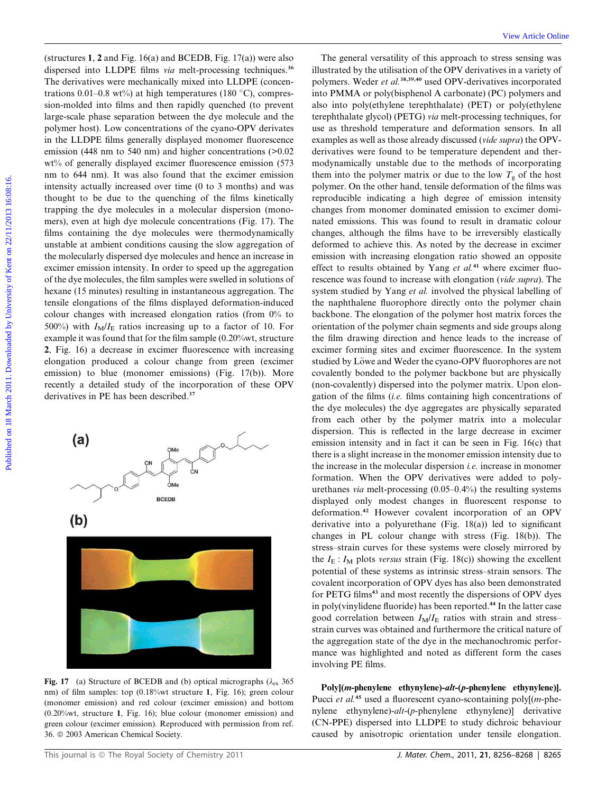(structures 1, 2 and Fig. 16(a) and BCEDB, Fig. 17(a)) were also dispersed into LLDPE films *via* melt-processing techniques.<sup>36</sup> The derivatives were mechanically mixed into LLDPE (concentrations 0.01–0.8 wt%) at high temperatures (180 °C), compression-molded into films and then rapidly quenched (to prevent large-scale phase separation between the dye molecule and the polymer host). Low concentrations of the cyano-OPV derivates in the LLDPE films generally displayed monomer fluorescence emission (448 nm to 540 nm) and higher concentrations (>0.02 wt% of generally displayed excimer fluorescence emission (573 nm to 644 nm). It was also found that the excimer emission intensity actually increased over time (0 to 3 months) and was thought to be due to the quenching of the films kinetically trapping the dye molecules in a molecular dispersion (monomers), even at high dye molecule concentrations (Fig. 17). The films containing the dye molecules were thermodynamically unstable at ambient conditions causing the slow aggregation of the molecularly dispersed dye molecules and hence an increase in excimer emission intensity. In order to speed up the aggregation of the dye molecules, the film samples were swelled in solutions of hexane (15 minutes) resulting in instantaneous aggregation. The tensile elongations of the films displayed deformation-induced colour changes with increased elongation ratios (from 0% to 500%) with  $I_M/I_E$  ratios increasing up to a factor of 10. For example it was found that for the film sample (0.20%wt, structure 2, Fig. 16) a decrease in excimer fluorescence with increasing elongation produced a colour change from green (excimer emission) to blue (monomer emissions) (Fig. 17(b)). More recently a detailed study of the incorporation of these OPV derivatives in PE has been described.<sup>37</sup>



Fig. 17 (a) Structure of BCEDB and (b) optical micrographs ( $\lambda_{\rm ex}$  365 nm) of film samples: top (0.18%wt structure 1, Fig. 16); green colour (monomer emission) and red colour (excimer emission) and bottom (0.20%wt, structure 1, Fig. 16); blue colour (monomer emission) and green colour (excimer emission). Reproduced with permission from ref. 36. © 2003 American Chemical Society.

The general versatility of this approach to stress sensing was illustrated by the utilisation of the OPV derivatives in a variety of polymers. Weder *et al.*38,39,40 used OPV-derivatives incorporated into PMMA or poly(bisphenol A carbonate) (PC) polymers and also into poly(ethylene terephthalate) (PET) or poly(ethylene terephthalate glycol) (PETG) *via* melt-processing techniques, for use as threshold temperature and deformation sensors. In all examples as well as those already discussed (*vide supra*) the OPVderivatives were found to be temperature dependent and thermodynamically unstable due to the methods of incorporating them into the polymer matrix or due to the low  $T<sub>g</sub>$  of the host polymer. On the other hand, tensile deformation of the films was reproducible indicating a high degree of emission intensity changes from monomer dominated emission to excimer dominated emissions. This was found to result in dramatic colour changes, although the films have to be irreversibly elastically deformed to achieve this. As noted by the decrease in excimer emission with increasing elongation ratio showed an opposite effect to results obtained by Yang *et al.*<sup>41</sup> where excimer fluorescence was found to increase with elongation (*vide supra*). The system studied by Yang *et al.* involved the physical labelling of the naphthalene fluorophore directly onto the polymer chain backbone. The elongation of the polymer host matrix forces the orientation of the polymer chain segments and side groups along the film drawing direction and hence leads to the increase of excimer forming sites and excimer fluorescence. In the system studied by Löwe and Weder the cyano-OPV fluorophores are not covalently bonded to the polymer backbone but are physically (non-covalently) dispersed into the polymer matrix. Upon elongation of the films (*i.e.* films containing high concentrations of the dye molecules) the dye aggregates are physically separated from each other by the polymer matrix into a molecular dispersion. This is reflected in the large decrease in excimer emission intensity and in fact it can be seen in Fig. 16(c) that there is a slight increase in the monomer emission intensity due to the increase in the molecular dispersion *i.e.* increase in monomer formation. When the OPV derivatives were added to polyurethanes *via* melt-processing (0.05–0.4%) the resulting systems displayed only modest changes in fluorescent response to deformation.<sup>42</sup> However covalent incorporation of an OPV derivative into a polyurethane (Fig. 18(a)) led to significant changes in PL colour change with stress (Fig. 18(b)). The stress–strain curves for these systems were closely mirrored by the  $I<sub>E</sub>$ :  $I<sub>M</sub>$  plots *versus* strain (Fig. 18(c)) showing the excellent potential of these systems as intrinsic stress–strain sensors. The covalent incorporation of OPV dyes has also been demonstrated for PETG films<sup>43</sup> and most recently the dispersions of OPV dyes in poly(vinylidene fluoride) has been reported.<sup>44</sup> In the latter case good correlation between  $I_M/I_E$  ratios with strain and stressstrain curves was obtained and furthermore the critical nature of the aggregation state of the dye in the mechanochromic performance was highlighted and noted as different form the cases involving PE films.

Poly[(m-phenylene ethynylene)-alt-(p-phenylene ethynylene)]. Pucci *et al.*<sup>45</sup> used a fluorescent cyano-scontaining poly[(*m*-phenylene ethynylene)-*alt*-(*p*-phenylene ethynylene)] derivative (CN-PPE) dispersed into LLDPE to study dichroic behaviour caused by anisotropic orientation under tensile elongation.

This journal is © The Royal Society of Chemistry 2011 **Society** 1. Mater. Chem., 2011, 21, 8256–8268 | 8265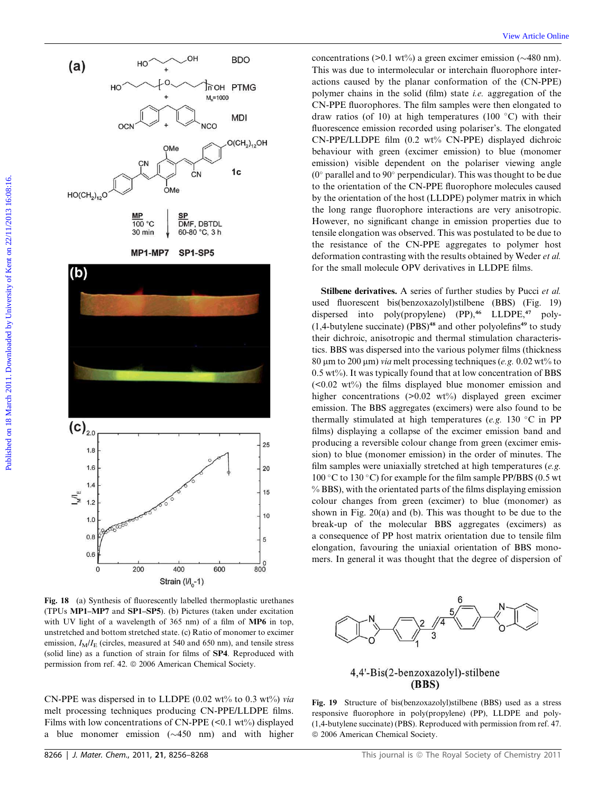

Fig. 18 (a) Synthesis of fluorescently labelled thermoplastic urethanes (TPUs MP1–MP7 and SP1–SP5). (b) Pictures (taken under excitation with UV light of a wavelength of 365 nm) of a film of MP6 in top, unstretched and bottom stretched state. (c) Ratio of monomer to excimer emission,  $I_M/I_E$  (circles, measured at 540 and 650 nm), and tensile stress (solid line) as a function of strain for films of SP4. Reproduced with permission from ref. 42. @ 2006 American Chemical Society.

CN-PPE was dispersed in to LLDPE (0.02 wt% to 0.3 wt%) *via* melt processing techniques producing CN-PPE/LLDPE films. Films with low concentrations of CN-PPE  $(<0.1 \text{ wt\%})$  displayed a blue monomer emission  $(\sim 450 \text{ nm})$  and with higher

concentrations ( $> 0.1$  wt%) a green excimer emission ( $\sim 480$  nm). This was due to intermolecular or interchain fluorophore interactions caused by the planar conformation of the (CN-PPE) polymer chains in the solid (film) state *i.e.* aggregation of the CN-PPE fluorophores. The film samples were then elongated to draw ratios (of 10) at high temperatures (100  $^{\circ}$ C) with their fluorescence emission recorded using polariser's. The elongated CN-PPE/LLDPE film (0.2 wt% CN-PPE) displayed dichroic behaviour with green (excimer emission) to blue (monomer emission) visible dependent on the polariser viewing angle ( $0^\circ$  parallel and to  $90^\circ$  perpendicular). This was thought to be due to the orientation of the CN-PPE fluorophore molecules caused by the orientation of the host (LLDPE) polymer matrix in which the long range fluorophore interactions are very anisotropic. However, no significant change in emission properties due to tensile elongation was observed. This was postulated to be due to the resistance of the CN-PPE aggregates to polymer host deformation contrasting with the results obtained by Weder *et al.* for the small molecule OPV derivatives in LLDPE films.

Stilbene derivatives. A series of further studies by Pucci *et al.* used fluorescent bis(benzoxazolyl)stilbene (BBS) (Fig. 19) dispersed into poly(propylene) (PP),<sup>46</sup> LLDPE,<sup>47</sup> poly- $(1,4$ -butylene succinate) (PBS)<sup>48</sup> and other polyolefins<sup>49</sup> to study their dichroic, anisotropic and thermal stimulation characteristics. BBS was dispersed into the various polymer films (thickness 80 mm to 200 mm) *via* melt processing techniques (*e.g.* 0.02 wt% to  $0.5 \text{ wt\%}$ . It was typically found that at low concentration of BBS  $(<0.02 \text{ wt\%})$  the films displayed blue monomer emission and higher concentrations (>0.02 wt%) displayed green exciment emission. The BBS aggregates (excimers) were also found to be thermally stimulated at high temperatures (*e.g.* 130  $\degree$ C in PP films) displaying a collapse of the excimer emission band and producing a reversible colour change from green (excimer emission) to blue (monomer emission) in the order of minutes. The film samples were uniaxially stretched at high temperatures (*e.g.* 100 °C to 130 °C) for example for the film sample PP/BBS (0.5 wt % BBS), with the orientated parts of the films displaying emission colour changes from green (excimer) to blue (monomer) as shown in Fig. 20(a) and (b). This was thought to be due to the break-up of the molecular BBS aggregates (excimers) as a consequence of PP host matrix orientation due to tensile film elongation, favouring the uniaxial orientation of BBS monomers. In general it was thought that the degree of dispersion of



#### 4,4'-Bis(2-benzoxazolyl)-stilbene (BBS)

Fig. 19 Structure of bis(benzoxazolyl)stilbene (BBS) used as a stress responsive fluorophore in poly(propylene) (PP), LLDPE and poly- (1,4-butylene succinate) (PBS). Reproduced with permission from ref. 47.  $© 2006 American Chemical Society.$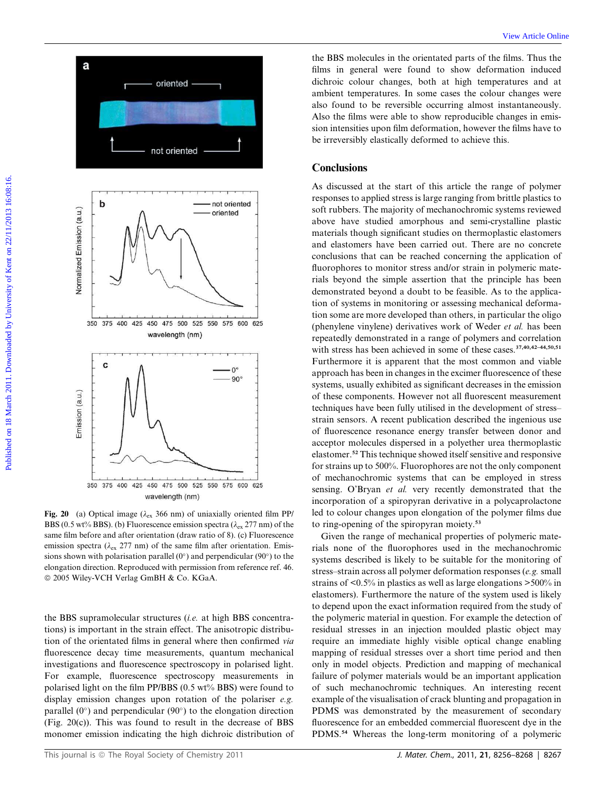

Fig. 20 (a) Optical image ( $\lambda_{\rm ex}$  366 nm) of uniaxially oriented film PP/ BBS (0.5 wt% BBS). (b) Fluorescence emission spectra ( $\lambda_{ex}$  277 nm) of the same film before and after orientation (draw ratio of 8). (c) Fluorescence emission spectra ( $\lambda_{\rm ex}$  277 nm) of the same film after orientation. Emissions shown with polarisation parallel  $(0^{\circ})$  and perpendicular  $(90^{\circ})$  to the elongation direction. Reproduced with permission from reference ref. 46. © 2005 Wiley-VCH Verlag GmBH & Co. KGaA.

the BBS supramolecular structures (*i.e.* at high BBS concentrations) is important in the strain effect. The anisotropic distribution of the orientated films in general where then confirmed *via* fluorescence decay time measurements, quantum mechanical investigations and fluorescence spectroscopy in polarised light. For example, fluorescence spectroscopy measurements in polarised light on the film PP/BBS (0.5 wt% BBS) were found to display emission changes upon rotation of the polariser *e.g.* parallel (0 ) and perpendicular (90 ) to the elongation direction (Fig. 20(c)). This was found to result in the decrease of BBS monomer emission indicating the high dichroic distribution of

the BBS molecules in the orientated parts of the films. Thus the films in general were found to show deformation induced dichroic colour changes, both at high temperatures and at ambient temperatures. In some cases the colour changes were also found to be reversible occurring almost instantaneously. Also the films were able to show reproducible changes in emission intensities upon film deformation, however the films have to be irreversibly elastically deformed to achieve this.

#### **Conclusions**

As discussed at the start of this article the range of polymer responses to applied stress is large ranging from brittle plastics to soft rubbers. The majority of mechanochromic systems reviewed above have studied amorphous and semi-crystalline plastic materials though significant studies on thermoplastic elastomers and elastomers have been carried out. There are no concrete conclusions that can be reached concerning the application of fluorophores to monitor stress and/or strain in polymeric materials beyond the simple assertion that the principle has been demonstrated beyond a doubt to be feasible. As to the application of systems in monitoring or assessing mechanical deformation some are more developed than others, in particular the oligo (phenylene vinylene) derivatives work of Weder *et al.* has been repeatedly demonstrated in a range of polymers and correlation with stress has been achieved in some of these cases.<sup>37,40,42-44,50,51</sup> Furthermore it is apparent that the most common and viable approach has been in changes in the excimer fluorescence of these systems, usually exhibited as significant decreases in the emission of these components. However not all fluorescent measurement techniques have been fully utilised in the development of stress– strain sensors. A recent publication described the ingenious use of fluorescence resonance energy transfer between donor and acceptor molecules dispersed in a polyether urea thermoplastic elastomer.<sup>52</sup> This technique showed itself sensitive and responsive for strains up to 500%. Fluorophores are not the only component of mechanochromic systems that can be employed in stress sensing. O'Bryan *et al.* very recently demonstrated that the incorporation of a spiropyran derivative in a polycaprolactone led to colour changes upon elongation of the polymer films due to ring-opening of the spiropyran moiety.<sup>53</sup>

Given the range of mechanical properties of polymeric materials none of the fluorophores used in the mechanochromic systems described is likely to be suitable for the monitoring of stress–strain across all polymer deformation responses (*e.g.* small strains of <0.5% in plastics as well as large elongations >500% in elastomers). Furthermore the nature of the system used is likely to depend upon the exact information required from the study of the polymeric material in question. For example the detection of residual stresses in an injection moulded plastic object may require an immediate highly visible optical change enabling mapping of residual stresses over a short time period and then only in model objects. Prediction and mapping of mechanical failure of polymer materials would be an important application of such mechanochromic techniques. An interesting recent example of the visualisation of crack blunting and propagation in PDMS was demonstrated by the measurement of secondary fluorescence for an embedded commercial fluorescent dye in the PDMS.<sup>54</sup> Whereas the long-term monitoring of a polymeric